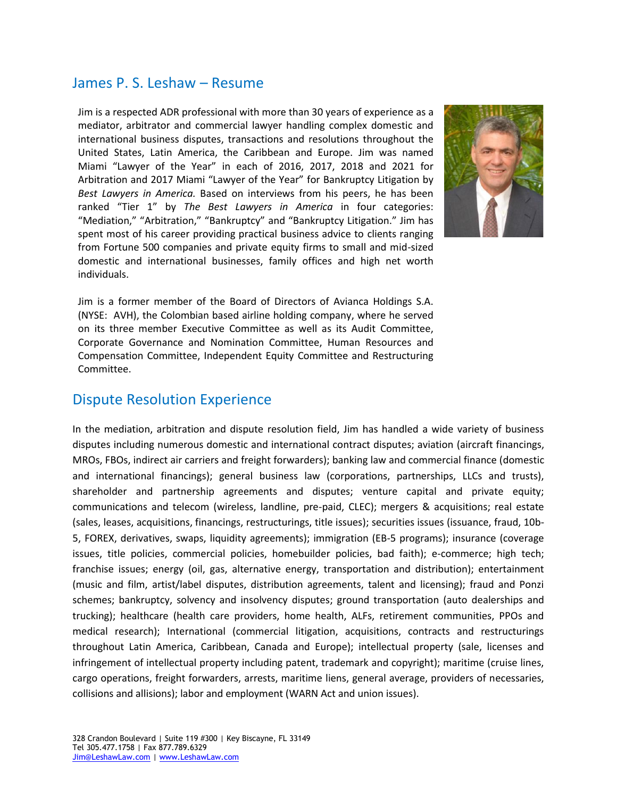#### James P. S. Leshaw – Resume

Jim is a respected ADR professional with more than 30 years of experience as a mediator, arbitrator and commercial lawyer handling complex domestic and international business disputes, transactions and resolutions throughout the United States, Latin America, the Caribbean and Europe. Jim was named Miami "Lawyer of the Year" in each of 2016, 2017, 2018 and 2021 for Arbitration and 2017 Miami "Lawyer of the Year" for Bankruptcy Litigation by *Best Lawyers in America.* Based on interviews from his peers, he has been ranked "Tier 1" by *The Best Lawyers in America* in four categories: "Mediation," "Arbitration," "Bankruptcy" and "Bankruptcy Litigation." Jim has spent most of his career providing practical business advice to [clients](http://leshawlaw.com/representative-clients/) ranging from Fortune 500 companies and private equity firms to small and mid-sized domestic and international businesses, [family offices](http://leshawlaw.com/family-offices-and-family-owned-businesses/) and high net worth individuals.



Jim is a former member of the Board of Directors of Avianca Holdings S.A. (NYSE: AVH), the Colombian based airline holding company, where he served on its three member Executive Committee as well as its Audit Committee, Corporate Governance and Nomination Committee, Human Resources and Compensation Committee, Independent Equity Committee and Restructuring Committee.

## Dispute Resolution Experience

In the mediation, arbitration and dispute resolution field, Jim has handled a wide variety of business disputes including numerous domestic and international contract disputes; aviation (aircraft financings, MROs, FBOs, indirect air carriers and freight forwarders); banking law and commercial finance (domestic and international financings); general business law (corporations, partnerships, LLCs and trusts), shareholder and partnership agreements and disputes; venture capital and private equity; communications and telecom (wireless, landline, pre-paid, CLEC); mergers & acquisitions; real estate (sales, leases, acquisitions, financings, restructurings, title issues); securities issues (issuance, fraud, 10b-5, FOREX, derivatives, swaps, liquidity agreements); immigration (EB-5 programs); insurance (coverage issues, title policies, commercial policies, homebuilder policies, bad faith); e-commerce; high tech; franchise issues; energy (oil, gas, alternative energy, transportation and distribution); entertainment (music and film, artist/label disputes, distribution agreements, talent and licensing); fraud and Ponzi schemes; bankruptcy, solvency and insolvency disputes; ground transportation (auto dealerships and trucking); healthcare (health care providers, home health, ALFs, retirement communities, PPOs and medical research); International (commercial litigation, acquisitions, contracts and restructurings throughout Latin America, Caribbean, Canada and Europe); intellectual property (sale, licenses and infringement of intellectual property including patent, trademark and copyright); maritime (cruise lines, cargo operations, freight forwarders, arrests, maritime liens, general average, providers of necessaries, collisions and allisions); labor and employment (WARN Act and union issues).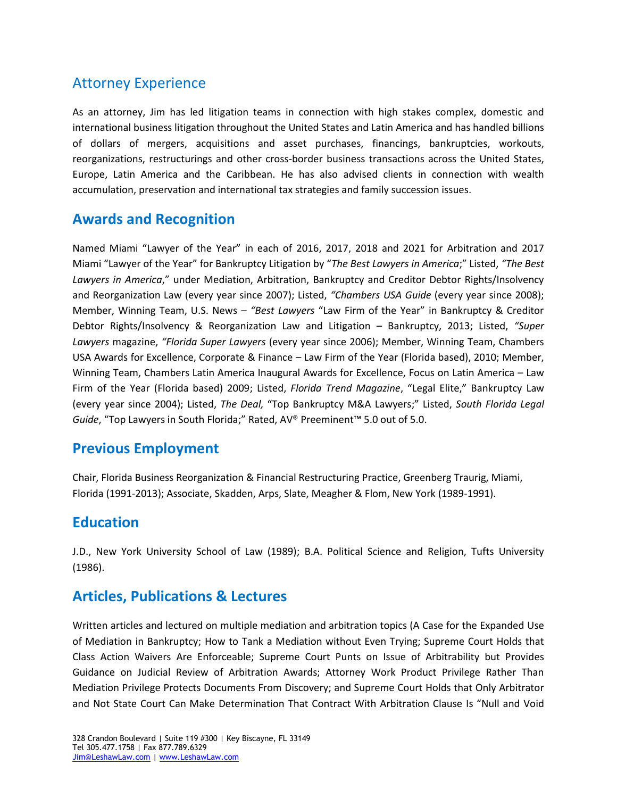## Attorney Experience

As an attorney, Jim has led [litigation](http://leshawlaw.com/services/litigation-counseling-and-oversight/) teams in connection with high stakes complex, domestic and international business litigation throughout the United States and Latin America and has handled billions of dollars of [mergers,](http://leshawlaw.com/services/mergers-and-acquisitions/) [acquisitions](http://leshawlaw.com/services/mergers-and-acquisitions/) and asset purchases, financings, bankruptcies, [workouts,](http://leshawlaw.com/services/bankruptcy-restructurings-and-workouts/) reorganizations, [restructurings](http://leshawlaw.com/services/bankruptcy-restructurings-and-workouts/) and other cross-border business transactions across the United States, Europe, Latin America and the Caribbean. He has also advised clients in connection with wealth accumulation, preservation and international tax strategies and family succession issues.

#### **Awards and Recognition**

Named Miami "Lawyer of the Year" in each of 2016, 2017, 2018 and 2021 for Arbitration and 2017 Miami "Lawyer of the Year" for Bankruptcy Litigation by "*The Best Lawyers in America*;" Listed, *"The Best Lawyers in America*," under Mediation, Arbitration, Bankruptcy and Creditor Debtor Rights/Insolvency and Reorganization Law (every year since 2007); Listed, *"Chambers USA Guide* (every year since 2008); Member, Winning Team, U.S. News – *"Best Lawyers* "Law Firm of the Year" in Bankruptcy & Creditor Debtor Rights/Insolvency & Reorganization Law and Litigation – Bankruptcy, 2013; Listed, *"Super Lawyers* magazine, *"Florida Super Lawyers* (every year since 2006); Member, Winning Team, Chambers USA Awards for Excellence, Corporate & Finance – Law Firm of the Year (Florida based), 2010; Member, Winning Team, Chambers Latin America Inaugural Awards for Excellence, Focus on Latin America – Law Firm of the Year (Florida based) 2009; Listed, *Florida Trend Magazine*, "Legal Elite," Bankruptcy Law (every year since 2004); Listed, *The Deal,* "Top Bankruptcy M&A Lawyers;" Listed, *South Florida Legal Guide*, "Top Lawyers in South Florida;" Rated, AV® Preeminent™ 5.0 out of 5.0.

## **Previous Employment**

Chair, Florida Business Reorganization & Financial Restructuring Practice, Greenberg Traurig, Miami, Florida (1991-2013); Associate, Skadden, Arps, Slate, Meagher & Flom, New York (1989-1991).

## **Education**

J.D., New York University School of Law (1989); B.A. Political Science and Religion, Tufts University (1986).

## **Articles, Publications & Lectures**

Written articles and lectured on multiple mediation and arbitration topics (A Case for the Expanded Use of Mediation in Bankruptcy; How to Tank a Mediation without Even Trying; Supreme Court Holds that Class Action Waivers Are Enforceable; Supreme Court Punts on Issue of Arbitrability but Provides Guidance on Judicial Review of Arbitration Awards; Attorney Work Product Privilege Rather Than Mediation Privilege Protects Documents From Discovery; and Supreme Court Holds that Only Arbitrator and Not State Court Can Make Determination That Contract With Arbitration Clause Is "Null and Void